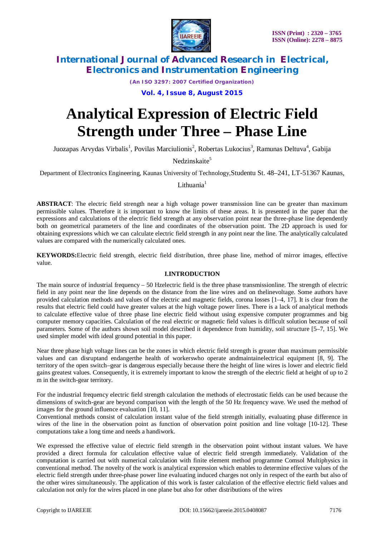

*(An ISO 3297: 2007 Certified Organization)*

**Vol. 4, Issue 8, August 2015**

# **Analytical Expression of Electric Field Strength under Three – Phase Line**

Juozapas Arvydas Virbalis<sup>1</sup>, Povilas Marciulionis<sup>2</sup>, Robertas Lukocius<sup>3</sup>, Ramunas Deltuva<sup>4</sup>, Gabija

Nedzinskaite<sup>5</sup>

Department of Electronics Engineering, Kaunas University of Technology,Studentu St. 48–241, LT-51367 Kaunas,

Lithuania $1$ 

**ABSTRACT**: The electric field strength near a high voltage power transmission line can be greater than maximum permissible values. Therefore it is important to know the limits of these areas. It is presented in the paper that the expressions and calculations of the electric field strength at any observation point near the three-phase line dependently both on geometrical parameters of the line and coordinates of the observation point. The 2D approach is used for obtaining expressions which we can calculate electric field strength in any point near the line. The analytically calculated values are compared with the numerically calculated ones.

**KEYWORDS:**Electric field strength, electric field distribution, three phase line, method of mirror images, effective value.

### **I.INTRODUCTION**

The main source of industrial frequency – 50 Hzelectric field is the three phase transmissionline. The strength of electric field in any point near the line depends on the distance from the line wires and on thelinevoltage. Some authors have provided calculation methods and values of the electric and magnetic fields, corona losses [1–4, 17]. It is clear from the results that electric field could have greater values at the high voltage power lines. There is a lack of analytical methods to calculate effective value of three phase line electric field without using expensive computer programmes and big computer memory capacities. Calculation of the real electric or magnetic field values is difficult solution because of soil parameters. Some of the authors shown soil model described it dependence from humidity, soil structure [5–7, 15]. We used simpler model with ideal ground potential in this paper.

Near three phase high voltage lines can be the zones in which electric field strength is greater than maximum permissible values and can disruptand endangerthe health of workerswho operate andmaintainelectrical equipment [8, 9]. The territory of the open switch–gear is dangerous especially because there the height of line wires is lower and electric field gains greatest values. Consequently, it is extremely important to know the strength of the electric field at height of up to 2 m in the switch-gear territory.

For the industrial frequency electric field strength calculation the methods of electrostatic fields can be used because the dimensions of switch-gear are beyond comparison with the length of the 50 Hz frequency wave. We used the method of images for the ground influence evaluation [10, 11].

Conventional methods consist of calculation instant value of the field strength initially, evaluating phase difference in wires of the line in the observation point as function of observation point position and line voltage [10-12]. These computations take a long time and needs a handiwork.

We expressed the effective value of electric field strength in the observation point without instant values. We have provided a direct formula for calculation effective value of electric field strength immediately. Validation of the computation is carried out with numerical calculation with finite element method programme Comsol Multiphysics in conventional method. The novelty of the work is analytical expression which enables to determine effective values of the electric field strength under three-phase power line evaluating induced charges not only in respect of the earth but also of the other wires simultaneously. The application of this work is faster calculation of the effective electric field values and calculation not only for the wires placed in one plane but also for other distributions of the wires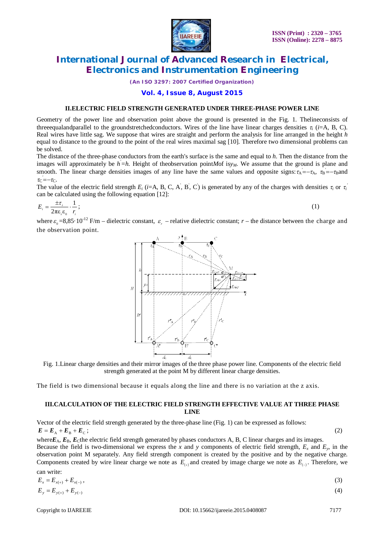

*(An ISO 3297: 2007 Certified Organization)*

**Vol. 4, Issue 8, August 2015**

#### **II.ELECTRIC FIELD STRENGTH GENERATED UNDER THREE-PHASE POWER LINE**

Geometry of the power line and observation point above the ground is presented in the Fig. 1. Thelineconsists of threeequalandparallel to the groundstretchedconductors. Wires of the line have linear charges densities  $\tau_i$  ( $i=$ A, B, C). Real wires have little sag. We suppose that wires are straight and perform the analysis for line arranged in the height *h* equal to distance to the ground to the point of the real wires maximal sag [10]. Therefore two dimensional problems can be solved.

The distance of the three-phase conductors from the earth's surface is the same and equal to *h*. Then the distance from the images will approximately be *h '=h.* Height of theobservation point*M*of is*yM*. We assume that the ground is plane and smooth. The linear charge densities images of any line have the same values and opposite signs:  $\tau_A = -\tau_A$ ,  $\tau_B = -\tau_B$ and  $\tau_{\rm C}$ <sup>'</sup>= $-\tau_{\rm C}$ .

The value of the electric field strength  $E_i$  (*i*=A, B, C, A', B', C') is generated by any of the charges with densities  $\tau_i$  or  $\tau_i'$ can be calculated using the following equation [12]:

$$
E_i = \frac{\pm \tau_i}{2\pi\varepsilon_i\varepsilon_0} \cdot \frac{1}{r_i};\tag{1}
$$

where  $\varepsilon_0 = 8.85 \cdot 10^{-12}$  F/m – dielectric constant,  $\varepsilon_r$  – relative dielectric constant;  $r$  – the distance between the charge and the observation point.



Fig. 1.Linear charge densities and their mirror images of the three phase power line. Components of the electric field strength generated at the point M by different linear charge densities.

The field is two dimensional because it equals along the line and there is no variation at the z axis.

### **III.CALCULATION OF THE ELECTRIC FIELD STRENGTH EFFECTIVE VALUE AT THREE PHASE LINE**

Vector of the electric field strength generated by the three-phase line (Fig. 1) can be expressed as follows:  $E = E_{A} + E_{B} + E_{C}$ ;  $\hspace{2.5cm}$ ; (2)

where $E_A$ ,  $E_B$ ,  $E_C$ the electric field strength generated by phases conductors A, B, C linear charges and its images. Because the field is two-dimensional we express the x and y components of electric field strength,  $E_x$  and  $E_y$ , in the observation point M separately. Any field strength component is created by the positive and by the negative charge. Components created by wire linear charge we note as  $E_{(+)}$  and created by image charge we note as  $E_{(-)}$ . Therefore, we can write:

| $E_x = E_{x(+)} + E_{x(-)}$ , | (3) |
|-------------------------------|-----|
| $E_y = E_{y(+)} + E_{y(-)}$   | (4) |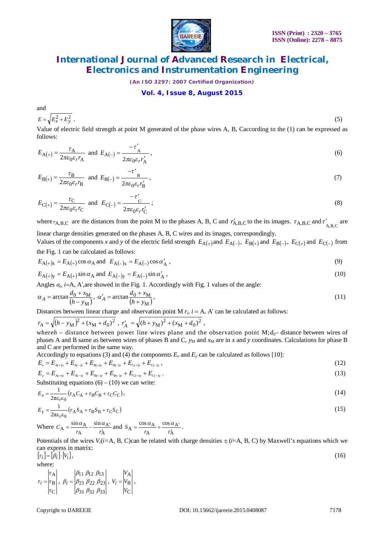

*(An ISO 3297: 2007 Certified Organization)*

#### **Vol. 4, Issue 8, August 2015**

and  

$$
E = \sqrt{E_x^2 + E_y^2}
$$
 (5)

Value of electric field strength at point M generated of the phase wires A, B, Caccording to the (1) can be expressed as follows:

$$
E_{\mathbf{A}(+)} = \frac{\tau_{\mathbf{A}}}{2\pi\varepsilon_0\varepsilon_r r_{\mathbf{A}}}
$$
 and  $E_{\mathbf{A}(-)} = \frac{-\tau'_{\mathbf{A}}}{2\pi\varepsilon_0\varepsilon_r r_{\mathbf{A}}'}$ , (6)

$$
E_{\mathbf{B}(+)} = \frac{\tau_{\mathbf{B}}}{2\pi\varepsilon_0 \varepsilon_r r_{\mathbf{B}}} \text{ and } E_{\mathbf{B}(-)} = \frac{-\tau'}{2\pi\varepsilon_0 \varepsilon_r r_{\mathbf{B}}'}
$$
\n<sup>(7)</sup>

$$
E_{\mathcal{C}(+)} = \frac{\tau_{\mathcal{C}}}{2\pi\varepsilon_0\varepsilon_r r_{\mathcal{C}}}
$$
 and 
$$
E_{\mathcal{C}(-)} = \frac{-\tau'_{\mathcal{C}}}{2\pi\varepsilon_0\varepsilon_r r_{\mathcal{C}}'};
$$
 (8)

where  $r_{A,B,C}$  are the distances from the point M to the phases A, B, C and  $r'_{A,B,C}$  to the its images.  $\tau_{A,B,C}$  and  $\tau'_{A,B,C}$  are

linear charge densities generated on the phases A, B, C wires and its images, correspondingly.

Values of the components *x* and *y* of the electric field strength  $E_{A(+)}$  and  $E_{A(-)}$ ,  $E_{B(+)}$  and  $E_{B(-)}$ ,  $E_{C(+)}$  and  $E_{C(-)}$  from the Fig. 1 can be calculated as follows:

$$
E_{A(+)x} = E_{A(+)} \cos \alpha_A
$$
 and  $E_{A(-)x} = E_{A(-)} \cos \alpha'_A$ , (9)

$$
E_{A(+)y} = E_{A(+)} \sin \alpha_A \text{ and } E_{A(-)y} = E_{A(-)} \sin \alpha'_A,
$$
\n(10)

Angles  $\alpha_i$ , *i*=A, A', are showed in the Fig. 1. Accordingly with Fig. 1 values of the angle:

$$
\alpha_A = \arctan\frac{d_0 + x_M}{(h - y_M)}, \ \alpha'_A = \arctan\frac{d_0 + x_M}{(h + y_M)},\tag{11}
$$

Distances between linear charge and observation point M  $r_i$ ,  $i = A$ , A' can be calculated as follows:

$$
r_A = \sqrt{(h - y_M)^2 + (x_M + d_0)^2}
$$
,  $r'_A = \sqrt{(h + y_M)^2 + (x_M + d_0)^2}$ ,  
where  $h$  - distance between power line wires plane and the observation point M;  $d_0$  - distance between wires of

phases A and B same as between wires of phases B and C,  $y_M$  and  $x_M$  are in  $x$  and  $y$  coordinates. Calculations for phase B and C are performed in the same way.

Accordingly to equations (3) and (4) the components  $E_x$  and  $E_y$  can be calculated as follows [10]:

$$
E_x = E_{A(+)x} + E_{A(-)x} + E_{B(+)x} + E_{B(-)x} + E_{C(+)x} + E_{C(-)x},
$$
  
\n
$$
E_y = E_{A(+)y} + E_{A(-)y} + E_{B(+)y} + E_{B(-)y} + E_{C(+)y} + E_{C(-)y}.
$$
\n(12)

$$
E_{y} = E_{A(+)y} + E_{A(-)y} + E_{B(+)y} + E_{B(-)y} + E_{C(+)y} + E_{C(-)y}.
$$

Substituting equations  $(6) - (10)$  we can write:

$$
E_x = \frac{1}{2\pi\varepsilon_r\varepsilon_0} \left(\tau_A C_A + \tau_B C_B + \tau_C C_C\right),\tag{14}
$$

$$
E_{y} = \frac{1}{2\pi\epsilon_{r}\epsilon_{0}} \left(\tau_{A}S_{A} + \tau_{B}S_{B} + \tau_{C}S_{C}\right)
$$
\n(15)

Where A A A  $A = \frac{\sin \alpha_A}{r} - \frac{\sin \alpha_B}{r}$  $C_A = \frac{\sin \alpha_A}{r_A} - \frac{\sin \alpha_{A'}}{r_A'}$  and A A A  $A = \frac{\cos \alpha_A}{\sin \alpha} + \frac{\cos \alpha_B}{\cos \alpha}$  $S_A = \frac{\cos \alpha_A}{r_A} + \frac{\cos \alpha_{A'}}{r_A'}$ .

Potentials of the wires  $V_i(i=A, B, C)$ can be related with charge densities  $\tau_i$  (*i*=A, B, C) by Maxwell's equations which we can express in matrix:  $[\tau_i] = [\beta_i] \cdot [V_i],$  (16)

where:

$$
\tau_i = \begin{vmatrix} \tau_A \\ \tau_B \\ \tau_C \end{vmatrix}, \ \beta_i = \begin{vmatrix} \beta_{11} & \beta_{12} & \beta_{13} \\ \beta_{21} & \beta_{22} & \beta_{23} \\ \beta_{31} & \beta_{32} & \beta_{33} \end{vmatrix}, \ \ v_i = \begin{vmatrix} V_A \\ V_B \\ V_C \end{vmatrix},
$$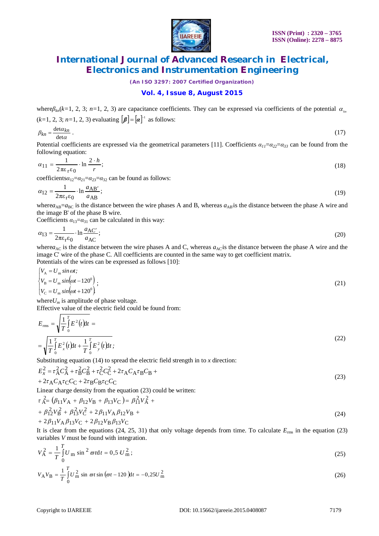

*(An ISO 3297: 2007 Certified Organization)*

### **Vol. 4, Issue 8, August 2015**

where $\beta_{kn}(k=1, 2, 3; n=1, 2, 3)$  are capacitance coefficients. They can be expressed via coefficients of the potential  $\alpha_{kn}$  $(k=1, 2, 3; n=1, 2, 3)$  evaluating  $[\beta] = [\alpha]^{-1}$  as follows:

$$
\beta_{kn} = \frac{\det \alpha_{kn}}{\det \alpha} \,. \tag{17}
$$

Potential coefficients are expressed via the geometrical parameters [11]. Coefficients  $a_1 = a_2 = a_3$  can be found from the following equation:

$$
\alpha_{11} = \frac{1}{2\pi\varepsilon_1\varepsilon_0} \cdot \ln \frac{2 \cdot h}{r};\tag{18}
$$

coefficients $\alpha_{12} = \alpha_{21} = \alpha_{23} = \alpha_{32}$  can be found as follows:

$$
\alpha_{12} = \frac{1}{2\pi\varepsilon_{\rm r}\varepsilon_0} \cdot \ln \frac{a_{\rm AB'}}{a_{\rm AB}}; \tag{19}
$$

where $a_{AB} = a_{BC}$  is the distance between the wire phases A and B, whereas  $a_{AB}$  is the distance between the phase A wire and the image B' of the phase B wire.

Coefficients  $\alpha_{13} = \alpha_{31}$  can be calculated in this way:

$$
\alpha_{13} = \frac{1}{2\pi\varepsilon_1\varepsilon_0} \cdot \ln \frac{a_{AC'}}{a_{AC}}; \tag{20}
$$

where $a_{AC}$  is the distance between the wire phases A and C, whereas  $a_{AC}$  is the distance between the phase A wire and the image C' wire of the phase C. All coefficients are counted in the same way to get coefficient matrix. Potentials of the wires can be expressed as follows [10]:

$$
\begin{cases}\nV_{\text{A}} = U_{\text{m}} \sin \omega t; \nV_{\text{B}} = U_{\text{m}} \sin(\omega t - 120^0) \nV_{\text{C}} = U_{\text{m}} \sin(\omega t + 120^0)\n\end{cases};
$$
\n(21)

where $U_m$  is amplitude of phase voltage. Effective value of the electric field could be found from:

$$
E_{\rm rms} = \sqrt{\frac{1}{T} \int_{0}^{T} E^{2}(t) dt} = \sqrt{\frac{1}{T} \int_{0}^{T} E_{x}^{2}(t) dt + \frac{1}{T} \int_{0}^{T} E_{y}^{2}(t) dt};
$$
\n(22)

Substituting equation (14) to spread the electric field strength in to *x* direction:

$$
E_{\chi}^{2} = \tau_{\rm A}^{2} C_{\rm A}^{2} + \tau_{\rm B}^{2} C_{\rm B}^{2} + \tau_{\rm C}^{2} C_{\rm C}^{2} + 2 \tau_{\rm A} C_{\rm A} \tau_{\rm B} C_{\rm B} + 2 \tau_{\rm A} C_{\rm A} \tau_{\rm C} C_{\rm C} + 2 \tau_{\rm B} C_{\rm B} \tau_{\rm C} C_{\rm C}
$$
\n(23)

Linear charge density from the equation (23) could be written:

$$
\tau_{A}^{2} = (\beta_{11}V_{A} + \beta_{12}V_{B} + \beta_{13}V_{C}) = \beta_{11}^{2}V_{A}^{2} + \n+ \beta_{12}^{2}V_{B}^{2} + \beta_{13}^{2}V_{C}^{2} + 2\beta_{11}V_{A}\beta_{12}V_{B} +
$$
\n(24)

+ 
$$
2\beta_{11}V_A\beta_{13}V_C
$$
 +  $2\beta_{12}V_B\beta_{13}V_C$ 

It is clear from the equations (24, 25, 31) that only voltage depends from time. To calculate  $E_{\rm rms}$  in the equation (23) variables *V* must be found with integration.  $\mathbf{r}$ 

$$
V_{\rm A}^2 = \frac{1}{T} \int_0^1 U_{\rm m} \sin^2 \omega t \, dt = 0.5 \, U_{\rm m}^2 \, ; \tag{25}
$$

$$
V_{\rm A}V_{\rm B} = \frac{1}{T} \int_0^T U_{\rm m}^2 \sin \omega t \sin (\omega t - 120) \mathrm{d}t = -0.25 U_{\rm m}^2 \tag{26}
$$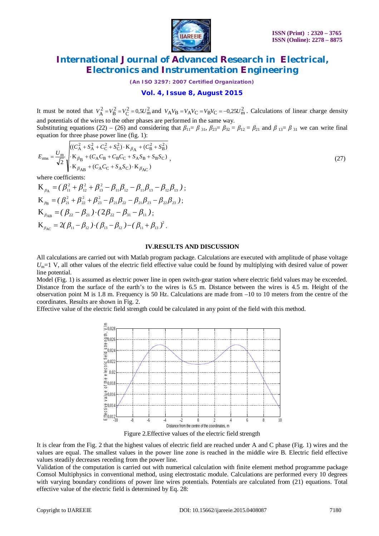

*(An ISO 3297: 2007 Certified Organization)*

### **Vol. 4, Issue 8, August 2015**

It must be noted that  $V_A^2 = V_B^2 = V_C^2 = 0.5U_m^2$  and  $V_A V_B = V_A V_C = V_B V_C = -0.25U_m^2$ . Calculations of linear charge density and potentials of the wires to the other phases are performed in the same way. Substituting equations (22) – (26) and considering that  $\beta_{11} = \beta_{31}$ ,  $\beta_{23} = \beta_{32} = \beta_{12} = \beta_{21}$  and  $\beta_{13} = \beta_{31}$  we can write final

equation for three phase power line (fig. 1):

$$
E_{\rm rms} = \frac{U_{\rm m}}{\sqrt{2}} \sqrt{\frac{((C_{\rm A}^2 + S_{\rm A}^2 + C_{\rm C}^2 + S_{\rm C}^2) \cdot \mathbf{K}_{\beta_{\rm A}} + (C_{\rm B}^2 + S_{\rm B}^2)}{\mathbf{K}_{\beta_{\rm B}} + (C_{\rm A}C_{\rm B} + C_{\rm B}C_{\rm C} + S_{\rm A}S_{\rm B} + S_{\rm B}S_{\rm C})}},
$$
\n(27)

where coefficients:

 $(\beta_{11}^2+\beta_{12}^2+\beta_{13}^2-\beta_{11}\beta_{12}-\beta_{11}\beta_{13}-\beta_{12}\beta_{13})$ 2 13 2  $\mathbf{K}_{\beta_{\rm A}} = (\beta_{11}^2 + \beta_{12}^2 + \beta_{13}^2 - \beta_{11}\beta_{12} - \beta_{11}\beta_{13} - \beta_{12}\beta_{13})$ ;  $(\beta_{21}^2 + \beta_{22}^2 + \beta_{23}^2 - \beta_{21}\beta_{22} - \beta_{21}\beta_{23} - \beta_{22}\beta_{23})$ 23 2  $\mathbf{K}_{\beta_{\text{B}}} = (\beta_{21}^2 + \beta_{22}^2 + \beta_{23}^2 - \beta_{21}\beta_{22} - \beta_{21}\beta_{23} - \beta_{22}\beta_{23})$ ;  $K_{\beta_{AB}} = (\beta_{22} - \beta_{21}) \cdot (2\beta_{22} - \beta_{31} - \beta_{11});$  $\mathbf{K}_{\beta_{AC}} = 2(\beta_{11} - \beta_{12}) \cdot (\beta_{13} - \beta_{12}) - (\beta_{11} + \beta_{13})^2$ .

#### **IV.RESULTS AND DISCUSSION**

All calculations are carried out with Matlab program package. Calculations are executed with amplitude of phase voltage  $U_m=1$  V, all other values of the electric field effective value could be found by multiplying with desired value of power line potential.

Model (Fig. 1) is assumed as electric power line in open switch-gear station where electric field values may be exceeded. Distance from the surface of the earth's to the wires is 6.5 m. Distance between the wires is 4.5 m. Height of the observation point M is 1.8 m. Frequency is 50 Hz. Calculations are made from –10 to 10 meters from the centre of the coordinates. Results are shown in Fig. 2.

Effective value of the electric field strength could be calculated in any point of the field with this method.



Figure 2.Effective values of the electric field strength

It is clear from the Fig. 2 that the highest values of electric field are reached under A and C phase (Fig. 1) wires and the values are equal. The smallest values in the power line zone is reached in the middle wire B. Electric field effective values steadily decreases receding from the power line.

Validation of the computation is carried out with numerical calculation with finite element method programme package Comsol Multiphysics in conventional method, using electrostatic module. Calculations are performed every 10 degrees with varying boundary conditions of power line wires potentials. Potentials are calculated from (21) equations. Total effective value of the electric field is determined by Eq. 28: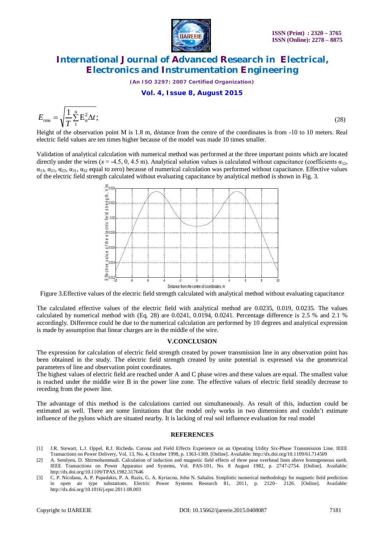

*(An ISO 3297: 2007 Certified Organization)*

### **Vol. 4, Issue 8, August 2015**

$$
E_{\rm rms} = \sqrt{\frac{1}{T} \sum_{1}^{n} E_n^2 \Delta t};
$$
\n(28)

Height of the observation point M is 1.8 m, d*i*stance from the centre of the coordinates is from -10 to 10 meters. Real electric field values are ten times higher because of the model was made 10 times smaller.

Validation of analytical calculation with numerical method was performed at the three important points which are located directly under the wires ( $x = -4.5, 0, 4.5$  m). Analytical solution values is calculated without capacitance (coefficients  $\alpha_{12}$ ,  $\alpha_{13}$ ,  $\alpha_{21}$ ,  $\alpha_{23}$ ,  $\alpha_{31}$ ,  $\alpha_{32}$  equal to zero) because of numerical calculation was performed without capacitance. Effective values of the electric field strength calculated without evaluating capacitance by analytical method is shown in Fig. 3.



Figure 3.Effective values of the electric field strength calculated with analytical method without evaluating capacitance

The calculated effective values of the electric field with analytical method are 0.0235, 0.019, 0.0235. The values calculated by numerical method with (Eq. 28) are 0.0241, 0.0194, 0.0241. Percentage difference is 2.5 % and 2.1 % accordingly. Difference could be due to the numerical calculation are performed by 10 degrees and analytical expression is made by assumption that linear charges are in the middle of the wire.

### **V.CONCLUSION**

The expression for calculation of electric field strength created by power transmission line in any observation point has been obtained in the study. The electric field strength created by unite potential is expressed via the geometrical parameters of line and observation point coordinates.

The highest values of electric field are reached under A and C phase wires and these values are equal. The smallest value is reached under the middle wire B in the power line zone. The effective values of electric field steadily decrease to receding from the power line.

The advantage of this method is the calculations carried out simultaneously. As result of this, induction could be estimated as well. There are some limitations that the model only works in two dimensions and couldn't estimate influence of the pylons which are situated nearby. It is lacking of real soil influence evaluation for real model

### **REFERENCES**

- [1] J.R. Stewart, L.J. Oppel, R.J. Richeda. Corona and Field Effects Experience on an Operating Utility Six-Phase Transmission Line. IEEE Transactions on Power Delivery, Vol. 13, No. 4, October 1998, p. 1363-1369. [Online]. Available: http://dx.doi.org/10.1109/61.714509
- [2] A. Semlyen, D. Shirmohammadi. Calculation of induction and magnetic field effects of three pase overhead lines above homogeneous earth. IEEE Transactions on Power Apparatus and Systems, Vol. PAS-101, No. 8 August 1982, p. 2747-2754. [Online]. Available: http://dx.doi.org/10.1109/TPAS.1982.317646
- [3] C. P. Nicolaou, A. P. Papadakis, P. A. Razis, G. A. Kyriacou, John N. Sahalos. Simplistic numerical methodology for magnetic field prediction in open air type substations. Electric Power Systems Research 81, 2011, p. 2120– 2126. [Online]. Available: http://dx.doi.org/10.1016/j.epsr.2011.08.003